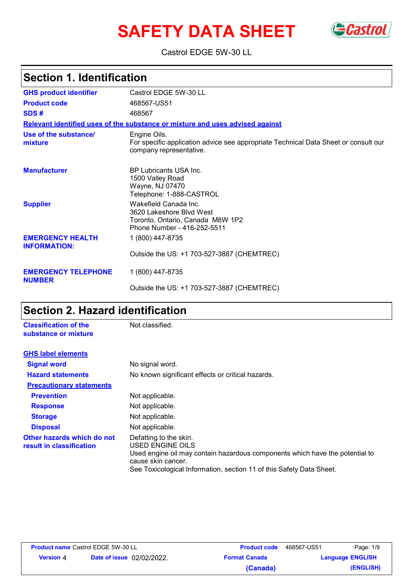# **SAFETY DATA SHEET** Gastrol



Castrol EDGE 5W-30 LL

# **Section 1. Identification**

| <b>GHS product identifier</b>                  | Castrol EDGE 5W-30 LL                                                                                                          |
|------------------------------------------------|--------------------------------------------------------------------------------------------------------------------------------|
| <b>Product code</b>                            | 468567-US51                                                                                                                    |
| SDS#                                           | 468567                                                                                                                         |
|                                                | Relevant identified uses of the substance or mixture and uses advised against                                                  |
| Use of the substance/<br>mixture               | Engine Oils.<br>For specific application advice see appropriate Technical Data Sheet or consult our<br>company representative. |
| <b>Manufacturer</b>                            | <b>BP Lubricants USA Inc.</b><br>1500 Valley Road<br>Wayne, NJ 07470<br>Telephone: 1-888-CASTROL                               |
| <b>Supplier</b>                                | Wakefield Canada Inc.<br>3620 Lakeshore Blvd West<br>Toronto, Ontario, Canada M8W 1P2<br>Phone Number - 416-252-5511           |
| <b>EMERGENCY HEALTH</b><br><b>INFORMATION:</b> | 1 (800) 447-8735                                                                                                               |
|                                                | Outside the US: +1 703-527-3887 (CHEMTREC)                                                                                     |
| <b>EMERGENCY TELEPHONE</b><br><b>NUMBER</b>    | 1 (800) 447-8735                                                                                                               |
|                                                | Outside the US: +1 703-527-3887 (CHEMTREC)                                                                                     |

# **Section 2. Hazard identification**

| <b>Classification of the</b><br>substance or mixture   | Not classified.                                                                                                                                  |
|--------------------------------------------------------|--------------------------------------------------------------------------------------------------------------------------------------------------|
| <b>GHS label elements</b>                              |                                                                                                                                                  |
| <b>Signal word</b>                                     | No signal word.                                                                                                                                  |
| <b>Hazard statements</b>                               | No known significant effects or critical hazards.                                                                                                |
| <b>Precautionary statements</b>                        |                                                                                                                                                  |
| <b>Prevention</b>                                      | Not applicable.                                                                                                                                  |
| <b>Response</b>                                        | Not applicable.                                                                                                                                  |
| <b>Storage</b>                                         | Not applicable.                                                                                                                                  |
| <b>Disposal</b>                                        | Not applicable.                                                                                                                                  |
| Other hazards which do not<br>result in classification | Defatting to the skin.<br>USED ENGINE OILS<br>Used engine oil may contain hazardous components which have the potential to<br>cause skin cancer. |

See Toxicological Information, section 11 of this Safety Data Sheet.

|                  | Product name Castrol EDGE 5W-30 LL |
|------------------|------------------------------------|
| <b>Version 4</b> | <b>Date of issue</b> 02/02/2022.   |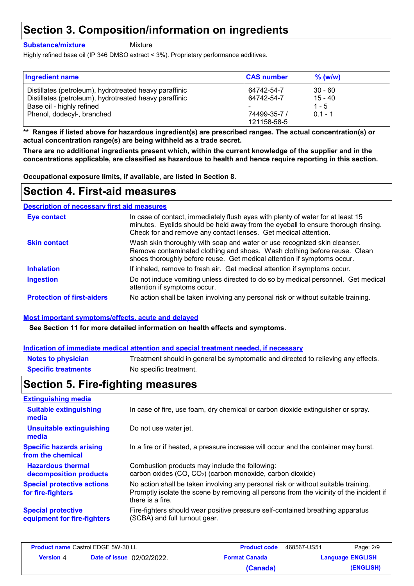# **Section 3. Composition/information on ingredients**

#### **Substance/mixture**

Mixture

Highly refined base oil (IP 346 DMSO extract < 3%). Proprietary performance additives.

| <b>Ingredient name</b>                                 | <b>CAS number</b> | $\%$ (w/w)  |
|--------------------------------------------------------|-------------------|-------------|
| Distillates (petroleum), hydrotreated heavy paraffinic | 64742-54-7        | $ 30 - 60 $ |
| Distillates (petroleum), hydrotreated heavy paraffinic | 64742-54-7        | $15 - 40$   |
| Base oil - highly refined                              | 74499-35-7 /      | $1 - 5$     |
| Phenol, dodecyl-, branched                             | 121158-58-5       | $0.1 - 1$   |

**\*\* Ranges if listed above for hazardous ingredient(s) are prescribed ranges. The actual concentration(s) or actual concentration range(s) are being withheld as a trade secret.**

**There are no additional ingredients present which, within the current knowledge of the supplier and in the concentrations applicable, are classified as hazardous to health and hence require reporting in this section.**

**Occupational exposure limits, if available, are listed in Section 8.**

# **Section 4. First-aid measures**

#### Do not induce vomiting unless directed to do so by medical personnel. Get medical attention if symptoms occur. In case of contact, immediately flush eyes with plenty of water for at least 15 minutes. Eyelids should be held away from the eyeball to ensure thorough rinsing. Check for and remove any contact lenses. Get medical attention. Wash skin thoroughly with soap and water or use recognized skin cleanser. Remove contaminated clothing and shoes. Wash clothing before reuse. Clean shoes thoroughly before reuse. Get medical attention if symptoms occur. If inhaled, remove to fresh air. Get medical attention if symptoms occur. **Eye contact Skin contact Inhalation Ingestion Protection of first-aiders** No action shall be taken involving any personal risk or without suitable training. **Description of necessary first aid measures**

### **Most important symptoms/effects, acute and delayed**

**See Section 11 for more detailed information on health effects and symptoms.**

### **Indication of immediate medical attention and special treatment needed, if necessary**

| <b>Notes to physician</b>  | Treatment should in general be symptomatic and directed to relieving any effects. |
|----------------------------|-----------------------------------------------------------------------------------|
| <b>Specific treatments</b> | No specific treatment.                                                            |

# **Section 5. Fire-fighting measures**

| <b>Extinguishing media</b>                               |                                                                                                                                                                                                   |
|----------------------------------------------------------|---------------------------------------------------------------------------------------------------------------------------------------------------------------------------------------------------|
| <b>Suitable extinguishing</b><br>media                   | In case of fire, use foam, dry chemical or carbon dioxide extinguisher or spray.                                                                                                                  |
| <b>Unsuitable extinguishing</b><br>media                 | Do not use water jet.                                                                                                                                                                             |
| <b>Specific hazards arising</b><br>from the chemical     | In a fire or if heated, a pressure increase will occur and the container may burst.                                                                                                               |
| <b>Hazardous thermal</b><br>decomposition products       | Combustion products may include the following:<br>carbon oxides (CO, CO <sub>2</sub> ) (carbon monoxide, carbon dioxide)                                                                          |
| <b>Special protective actions</b><br>for fire-fighters   | No action shall be taken involving any personal risk or without suitable training.<br>Promptly isolate the scene by removing all persons from the vicinity of the incident if<br>there is a fire. |
| <b>Special protective</b><br>equipment for fire-fighters | Fire-fighters should wear positive pressure self-contained breathing apparatus<br>(SCBA) and full turnout gear.                                                                                   |

| <b>Product name Castrol EDGE 5W-30 LL</b> |                                  | <b>Product code</b>  | 468567-US51 | Page: 2/9               |
|-------------------------------------------|----------------------------------|----------------------|-------------|-------------------------|
| <b>Version</b> 4                          | <b>Date of issue 02/02/2022.</b> | <b>Format Canada</b> |             | <b>Language ENGLISH</b> |
|                                           |                                  | (Canada)             |             | (ENGLISH)               |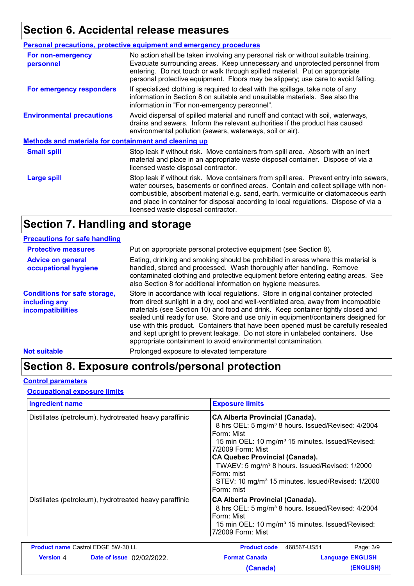## **Section 6. Accidental release measures**

|                                                              | <b>Personal precautions, protective equipment and emergency procedures</b>                                                                                                                                                                                                                                                                                                                         |  |  |  |  |
|--------------------------------------------------------------|----------------------------------------------------------------------------------------------------------------------------------------------------------------------------------------------------------------------------------------------------------------------------------------------------------------------------------------------------------------------------------------------------|--|--|--|--|
| For non-emergency<br>personnel                               | No action shall be taken involving any personal risk or without suitable training.<br>Evacuate surrounding areas. Keep unnecessary and unprotected personnel from<br>entering. Do not touch or walk through spilled material. Put on appropriate<br>personal protective equipment. Floors may be slippery; use care to avoid falling.                                                              |  |  |  |  |
| For emergency responders                                     | If specialized clothing is required to deal with the spillage, take note of any<br>information in Section 8 on suitable and unsuitable materials. See also the<br>information in "For non-emergency personnel".                                                                                                                                                                                    |  |  |  |  |
| <b>Environmental precautions</b>                             | Avoid dispersal of spilled material and runoff and contact with soil, waterways,<br>drains and sewers. Inform the relevant authorities if the product has caused<br>environmental pollution (sewers, waterways, soil or air).                                                                                                                                                                      |  |  |  |  |
| <b>Methods and materials for containment and cleaning up</b> |                                                                                                                                                                                                                                                                                                                                                                                                    |  |  |  |  |
| <b>Small spill</b>                                           | Stop leak if without risk. Move containers from spill area. Absorb with an inert<br>material and place in an appropriate waste disposal container. Dispose of via a<br>licensed waste disposal contractor.                                                                                                                                                                                         |  |  |  |  |
| <b>Large spill</b>                                           | Stop leak if without risk. Move containers from spill area. Prevent entry into sewers,<br>water courses, basements or confined areas. Contain and collect spillage with non-<br>combustible, absorbent material e.g. sand, earth, vermiculite or diatomaceous earth<br>and place in container for disposal according to local regulations. Dispose of via a<br>licensed waste disposal contractor. |  |  |  |  |
|                                                              |                                                                                                                                                                                                                                                                                                                                                                                                    |  |  |  |  |

# **Section 7. Handling and storage**

| <b>Precautions for safe handling</b>                                      |                                                                                                                                                                                                                                                                                                                                                                                                                                                                                                                                                                                               |
|---------------------------------------------------------------------------|-----------------------------------------------------------------------------------------------------------------------------------------------------------------------------------------------------------------------------------------------------------------------------------------------------------------------------------------------------------------------------------------------------------------------------------------------------------------------------------------------------------------------------------------------------------------------------------------------|
| <b>Protective measures</b>                                                | Put on appropriate personal protective equipment (see Section 8).                                                                                                                                                                                                                                                                                                                                                                                                                                                                                                                             |
| <b>Advice on general</b><br>occupational hygiene                          | Eating, drinking and smoking should be prohibited in areas where this material is<br>handled, stored and processed. Wash thoroughly after handling. Remove<br>contaminated clothing and protective equipment before entering eating areas. See<br>also Section 8 for additional information on hygiene measures.                                                                                                                                                                                                                                                                              |
| <b>Conditions for safe storage,</b><br>including any<br>incompatibilities | Store in accordance with local regulations. Store in original container protected<br>from direct sunlight in a dry, cool and well-ventilated area, away from incompatible<br>materials (see Section 10) and food and drink. Keep container tightly closed and<br>sealed until ready for use. Store and use only in equipment/containers designed for<br>use with this product. Containers that have been opened must be carefully resealed<br>and kept upright to prevent leakage. Do not store in unlabeled containers. Use<br>appropriate containment to avoid environmental contamination. |
| <b>Not suitable</b>                                                       | Prolonged exposure to elevated temperature                                                                                                                                                                                                                                                                                                                                                                                                                                                                                                                                                    |

# **Section 8. Exposure controls/personal protection**

### **Control parameters**

### **Occupational exposure limits**

| <b>Ingredient name</b>                                                                                           |                                           | <b>Exposure limits</b>                                                                                                                                                                                                                                                                                                                                                                                          |                         |  |  |  |  |
|------------------------------------------------------------------------------------------------------------------|-------------------------------------------|-----------------------------------------------------------------------------------------------------------------------------------------------------------------------------------------------------------------------------------------------------------------------------------------------------------------------------------------------------------------------------------------------------------------|-------------------------|--|--|--|--|
| Distillates (petroleum), hydrotreated heavy paraffinic<br>Distillates (petroleum), hydrotreated heavy paraffinic |                                           | <b>CA Alberta Provincial (Canada).</b><br>8 hrs OEL: 5 mg/m <sup>3</sup> 8 hours. Issued/Revised: 4/2004<br>Form: Mist<br>15 min OEL: 10 mg/m <sup>3</sup> 15 minutes. Issued/Revised:<br>7/2009 Form: Mist<br><b>CA Quebec Provincial (Canada).</b><br>TWAEV: 5 mg/m <sup>3</sup> 8 hours. Issued/Revised: 1/2000<br>Form: mist<br>STEV: 10 mg/m <sup>3</sup> 15 minutes. Issued/Revised: 1/2000<br>Form: mist |                         |  |  |  |  |
|                                                                                                                  |                                           | <b>CA Alberta Provincial (Canada).</b><br>8 hrs OEL: 5 mg/m <sup>3</sup> 8 hours. Issued/Revised: 4/2004<br>Form: Mist<br>15 min OEL: 10 mg/m <sup>3</sup> 15 minutes. Issued/Revised:<br>7/2009 Form: Mist                                                                                                                                                                                                     |                         |  |  |  |  |
|                                                                                                                  | <b>Product name Castrol EDGE 5W-30 LL</b> | <b>Product code</b><br>468567-US51                                                                                                                                                                                                                                                                                                                                                                              | Page: 3/9               |  |  |  |  |
| <b>Version 4</b>                                                                                                 | <b>Date of issue</b> 02/02/2022.          | <b>Format Canada</b>                                                                                                                                                                                                                                                                                                                                                                                            | <b>Language ENGLISH</b> |  |  |  |  |
|                                                                                                                  |                                           | (Canada)                                                                                                                                                                                                                                                                                                                                                                                                        | (ENGLISH)               |  |  |  |  |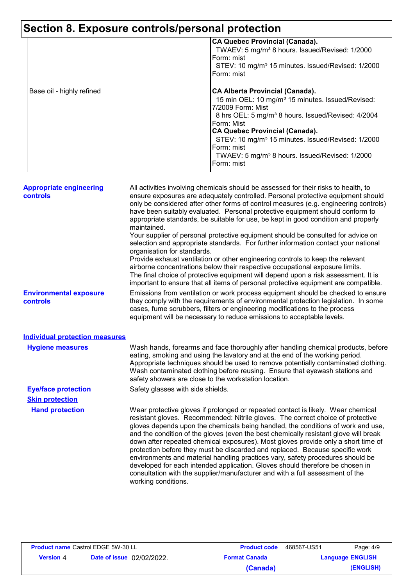#### **Section 8. Exposure controls/personal protection CA Quebec Provincial (Canada).** TWAEV: 5 mg/m³ 8 hours. Issued/Revised: 1/2000 Form: mist STEV: 10 mg/m<sup>3</sup> 15 minutes. Issued/Revised: 1/2000 Form: mist Base oil - highly refined **CA Alberta Provincial (Canada).** 15 min OEL: 10 mg/m<sup>3</sup> 15 minutes. Issued/Revised: 7/2009 Form: Mist 8 hrs OEL: 5 mg/m<sup>3</sup> 8 hours. Issued/Revised: 4/2004 Form: Mist **CA Quebec Provincial (Canada).** STEV: 10 mg/m<sup>3</sup> 15 minutes. Issued/Revised: 1/2000 Form: mist TWAEV: 5 mg/m³ 8 hours. Issued/Revised: 1/2000 Form: mist **Hand protection** Wear protective gloves if prolonged or repeated contact is likely. Wear chemical resistant gloves. Recommended: Nitrile gloves. The correct choice of protective gloves depends upon the chemicals being handled, the conditions of work and use, and the condition of the gloves (even the best chemically resistant glove will break down after repeated chemical exposures). Most gloves provide only a short time of protection before they must be discarded and replaced. Because specific work environments and material handling practices vary, safety procedures should be developed for each intended application. Gloves should therefore be chosen in consultation with the supplier/manufacturer and with a full assessment of the working conditions. **Eye/face protection** Safety glasses with side shields. **Environmental exposure controls** Emissions from ventilation or work process equipment should be checked to ensure they comply with the requirements of environmental protection legislation. In some cases, fume scrubbers, filters or engineering modifications to the process equipment will be necessary to reduce emissions to acceptable levels. **Appropriate engineering controls** All activities involving chemicals should be assessed for their risks to health, to ensure exposures are adequately controlled. Personal protective equipment should only be considered after other forms of control measures (e.g. engineering controls) have been suitably evaluated. Personal protective equipment should conform to appropriate standards, be suitable for use, be kept in good condition and properly maintained. Your supplier of personal protective equipment should be consulted for advice on selection and appropriate standards. For further information contact your national organisation for standards. Provide exhaust ventilation or other engineering controls to keep the relevant airborne concentrations below their respective occupational exposure limits. The final choice of protective equipment will depend upon a risk assessment. It is important to ensure that all items of personal protective equipment are compatible. Wash hands, forearms and face thoroughly after handling chemical products, before eating, smoking and using the lavatory and at the end of the working period. Appropriate techniques should be used to remove potentially contaminated clothing. Wash contaminated clothing before reusing. Ensure that eyewash stations and safety showers are close to the workstation location. **Hygiene measures Individual protection measures Skin protection**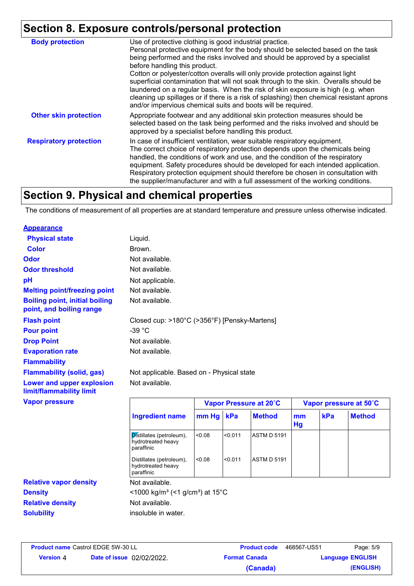# **Section 8. Exposure controls/personal protection**

| <b>Body protection</b>        | Use of protective clothing is good industrial practice.<br>Personal protective equipment for the body should be selected based on the task<br>being performed and the risks involved and should be approved by a specialist                                                                                                                                                                                                                                                                           |
|-------------------------------|-------------------------------------------------------------------------------------------------------------------------------------------------------------------------------------------------------------------------------------------------------------------------------------------------------------------------------------------------------------------------------------------------------------------------------------------------------------------------------------------------------|
|                               | before handling this product.<br>Cotton or polyester/cotton overalls will only provide protection against light<br>superficial contamination that will not soak through to the skin. Overalls should be<br>laundered on a regular basis. When the risk of skin exposure is high (e.g. when<br>cleaning up spillages or if there is a risk of splashing) then chemical resistant aprons<br>and/or impervious chemical suits and boots will be required.                                                |
| <b>Other skin protection</b>  | Appropriate footwear and any additional skin protection measures should be<br>selected based on the task being performed and the risks involved and should be<br>approved by a specialist before handling this product.                                                                                                                                                                                                                                                                               |
| <b>Respiratory protection</b> | In case of insufficient ventilation, wear suitable respiratory equipment.<br>The correct choice of respiratory protection depends upon the chemicals being<br>handled, the conditions of work and use, and the condition of the respiratory<br>equipment. Safety procedures should be developed for each intended application.<br>Respiratory protection equipment should therefore be chosen in consultation with<br>the supplier/manufacturer and with a full assessment of the working conditions. |

## **Section 9. Physical and chemical properties**

The conditions of measurement of all properties are at standard temperature and pressure unless otherwise indicated.

#### **Appearance**

| <b>Physical state</b>                                             | Liquid.                                                      |                        |         |                    |                        |     |               |
|-------------------------------------------------------------------|--------------------------------------------------------------|------------------------|---------|--------------------|------------------------|-----|---------------|
| <b>Color</b>                                                      | Brown.                                                       |                        |         |                    |                        |     |               |
| Odor                                                              | Not available.                                               |                        |         |                    |                        |     |               |
| <b>Odor threshold</b>                                             | Not available.                                               |                        |         |                    |                        |     |               |
| pH                                                                | Not applicable.                                              |                        |         |                    |                        |     |               |
| <b>Melting point/freezing point</b>                               | Not available.                                               |                        |         |                    |                        |     |               |
| <b>Boiling point, initial boiling</b><br>point, and boiling range | Not available.                                               |                        |         |                    |                        |     |               |
| <b>Flash point</b>                                                | Closed cup: >180°C (>356°F) [Pensky-Martens]                 |                        |         |                    |                        |     |               |
| <b>Pour point</b>                                                 | $-39 °C$                                                     |                        |         |                    |                        |     |               |
| <b>Drop Point</b>                                                 | Not available.                                               |                        |         |                    |                        |     |               |
| <b>Evaporation rate</b>                                           | Not available.                                               |                        |         |                    |                        |     |               |
| <b>Flammability</b>                                               |                                                              |                        |         |                    |                        |     |               |
| <b>Flammability (solid, gas)</b>                                  | Not applicable. Based on - Physical state                    |                        |         |                    |                        |     |               |
| Lower and upper explosion<br>limit/flammability limit             | Not available.                                               |                        |         |                    |                        |     |               |
| <b>Vapor pressure</b>                                             |                                                              | Vapor Pressure at 20°C |         |                    | Vapor pressure at 50°C |     |               |
|                                                                   | <b>Ingredient name</b>                                       | mm Hg                  | kPa     | <b>Method</b>      | mm<br>Hg               | kPa | <b>Method</b> |
|                                                                   | Distillates (petroleum),<br>hydrotreated heavy<br>paraffinic | 0.08                   | < 0.011 | <b>ASTM D 5191</b> |                        |     |               |
|                                                                   | Distillates (petroleum),<br>hydrotreated heavy               | < 0.08                 | < 0.011 | <b>ASTM D 5191</b> |                        |     |               |

**Relative density Solubility Relative vapor density**

**Product name** Castrol EDGE 5W-30 LL

Not available. Not available. insoluble in water. **Density**  $\leq 1000 \text{ kg/m}^3 \leq 1 \text{ g/cm}^3$  at 15°C paraffinic

|           | oduct name Castrol EDGE 5W-30 LL | <b>Product code</b>  | 468567-US51 | Page: 5/9               |
|-----------|----------------------------------|----------------------|-------------|-------------------------|
| Version 4 | <b>Date of issue</b> 02/02/2022. | <b>Format Canada</b> |             | <b>Language ENGLISH</b> |
|           |                                  | (Canada)             |             | (ENGLISH)               |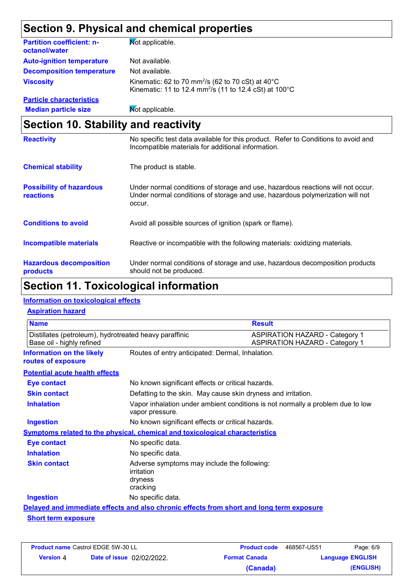# **Section 9. Physical and chemical properties**

| <b>Partition coefficient: n-</b><br>octanol/water | <b>Not applicable.</b>                                                                                                                        |
|---------------------------------------------------|-----------------------------------------------------------------------------------------------------------------------------------------------|
| <b>Auto-ignition temperature</b>                  | Not available.                                                                                                                                |
| <b>Decomposition temperature</b>                  | Not available.                                                                                                                                |
| <b>Viscosity</b>                                  | Kinematic: 62 to 70 mm <sup>2</sup> /s (62 to 70 cSt) at $40^{\circ}$ C<br>Kinematic: 11 to 12.4 mm <sup>2</sup> /s (11 to 12.4 cSt) at 100°C |
| <b>Particle characteristics</b>                   |                                                                                                                                               |
| <b>Median particle size</b>                       | Mot applicable.                                                                                                                               |

# **Section 10. Stability and reactivity**

| <b>Reactivity</b>                                   | No specific test data available for this product. Refer to Conditions to avoid and<br>Incompatible materials for additional information.                                   |
|-----------------------------------------------------|----------------------------------------------------------------------------------------------------------------------------------------------------------------------------|
| <b>Chemical stability</b>                           | The product is stable.                                                                                                                                                     |
| <b>Possibility of hazardous</b><br><b>reactions</b> | Under normal conditions of storage and use, hazardous reactions will not occur.<br>Under normal conditions of storage and use, hazardous polymerization will not<br>occur. |
| <b>Conditions to avoid</b>                          | Avoid all possible sources of ignition (spark or flame).                                                                                                                   |
| Incompatible materials                              | Reactive or incompatible with the following materials: oxidizing materials.                                                                                                |
| <b>Hazardous decomposition</b><br>products          | Under normal conditions of storage and use, hazardous decomposition products<br>should not be produced.                                                                    |

# **Section 11. Toxicological information**

### **Information on toxicological effects**

### **Aspiration hazard**

| <b>Name</b><br><b>Result</b>                                                        |                                                                                                   |                                                                                          |  |
|-------------------------------------------------------------------------------------|---------------------------------------------------------------------------------------------------|------------------------------------------------------------------------------------------|--|
| Distillates (petroleum), hydrotreated heavy paraffinic<br>Base oil - highly refined |                                                                                                   | <b>ASPIRATION HAZARD - Category 1</b><br><b>ASPIRATION HAZARD - Category 1</b>           |  |
| Information on the likely<br>routes of exposure                                     | Routes of entry anticipated: Dermal, Inhalation.                                                  |                                                                                          |  |
| <b>Potential acute health effects</b>                                               |                                                                                                   |                                                                                          |  |
| <b>Eye contact</b>                                                                  | No known significant effects or critical hazards.                                                 |                                                                                          |  |
| <b>Skin contact</b>                                                                 |                                                                                                   | Defatting to the skin. May cause skin dryness and irritation.                            |  |
| <b>Inhalation</b>                                                                   | Vapor inhalation under ambient conditions is not normally a problem due to low<br>vapor pressure. |                                                                                          |  |
| <b>Ingestion</b>                                                                    | No known significant effects or critical hazards.                                                 |                                                                                          |  |
|                                                                                     | <b>Symptoms related to the physical, chemical and toxicological characteristics</b>               |                                                                                          |  |
| <b>Eye contact</b>                                                                  | No specific data.                                                                                 |                                                                                          |  |
| <b>Inhalation</b>                                                                   | No specific data.                                                                                 |                                                                                          |  |
| <b>Skin contact</b>                                                                 | Adverse symptoms may include the following:<br>irritation<br>dryness<br>cracking                  |                                                                                          |  |
| <b>Ingestion</b>                                                                    | No specific data.                                                                                 |                                                                                          |  |
|                                                                                     |                                                                                                   | Delayed and immediate effects and also chronic effects from short and long term exposure |  |
| <b>Short term exposure</b>                                                          |                                                                                                   |                                                                                          |  |

| <b>Product name Castrol EDGE 5W-30 LL</b> |                                  | <b>Product code</b>  | 468567-US51             | Page: 6/9 |
|-------------------------------------------|----------------------------------|----------------------|-------------------------|-----------|
| <b>Version</b> 4                          | <b>Date of issue</b> 02/02/2022. | <b>Format Canada</b> | <b>Language ENGLISH</b> |           |
|                                           |                                  | (Canada)             |                         | (ENGLISH) |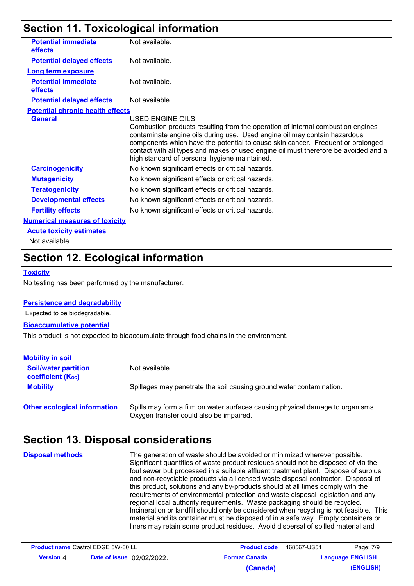# **Section 11. Toxicological information**

| <b>Potential immediate</b><br>effects   | Not available.                                                                                                                                                                                                                                                                                                                                                                                              |
|-----------------------------------------|-------------------------------------------------------------------------------------------------------------------------------------------------------------------------------------------------------------------------------------------------------------------------------------------------------------------------------------------------------------------------------------------------------------|
| <b>Potential delayed effects</b>        | Not available.                                                                                                                                                                                                                                                                                                                                                                                              |
| <b>Long term exposure</b>               |                                                                                                                                                                                                                                                                                                                                                                                                             |
| <b>Potential immediate</b><br>effects   | Not available.                                                                                                                                                                                                                                                                                                                                                                                              |
| <b>Potential delayed effects</b>        | Not available.                                                                                                                                                                                                                                                                                                                                                                                              |
| <b>Potential chronic health effects</b> |                                                                                                                                                                                                                                                                                                                                                                                                             |
| <b>General</b>                          | USED ENGINE OILS<br>Combustion products resulting from the operation of internal combustion engines<br>contaminate engine oils during use. Used engine oil may contain hazardous<br>components which have the potential to cause skin cancer. Frequent or prolonged<br>contact with all types and makes of used engine oil must therefore be avoided and a<br>high standard of personal hygiene maintained. |
| <b>Carcinogenicity</b>                  | No known significant effects or critical hazards.                                                                                                                                                                                                                                                                                                                                                           |
| <b>Mutagenicity</b>                     | No known significant effects or critical hazards.                                                                                                                                                                                                                                                                                                                                                           |
| <b>Teratogenicity</b>                   | No known significant effects or critical hazards.                                                                                                                                                                                                                                                                                                                                                           |
| <b>Developmental effects</b>            | No known significant effects or critical hazards.                                                                                                                                                                                                                                                                                                                                                           |
| <b>Fertility effects</b>                | No known significant effects or critical hazards.                                                                                                                                                                                                                                                                                                                                                           |
| <b>Numerical measures of toxicity</b>   |                                                                                                                                                                                                                                                                                                                                                                                                             |
| <b>Acute toxicity estimates</b>         |                                                                                                                                                                                                                                                                                                                                                                                                             |
|                                         |                                                                                                                                                                                                                                                                                                                                                                                                             |

Not available.

# **Section 12. Ecological information**

### **Toxicity**

No testing has been performed by the manufacturer.

### **Persistence and degradability**

Expected to be biodegradable.

#### **Bioaccumulative potential**

This product is not expected to bioaccumulate through food chains in the environment.

| <b>Mobility in soil</b>                                 |                                                                                                                           |
|---------------------------------------------------------|---------------------------------------------------------------------------------------------------------------------------|
| <b>Soil/water partition</b><br><b>coefficient (Koc)</b> | Not available.                                                                                                            |
| <b>Mobility</b>                                         | Spillages may penetrate the soil causing ground water contamination.                                                      |
| <b>Other ecological information</b>                     | Spills may form a film on water surfaces causing physical damage to organisms.<br>Oxygen transfer could also be impaired. |

# **Section 13. Disposal considerations**

The generation of waste should be avoided or minimized wherever possible. Significant quantities of waste product residues should not be disposed of via the foul sewer but processed in a suitable effluent treatment plant. Dispose of surplus and non-recyclable products via a licensed waste disposal contractor. Disposal of this product, solutions and any by-products should at all times comply with the requirements of environmental protection and waste disposal legislation and any regional local authority requirements. Waste packaging should be recycled. Incineration or landfill should only be considered when recycling is not feasible. This material and its container must be disposed of in a safe way. Empty containers or liners may retain some product residues. Avoid dispersal of spilled material and **Disposal methods**

| <b>Product name Castrol EDGE 5W-30 LL</b> |                                  | <b>Product code</b>  | 468567-US51 | Page: 7/9               |
|-------------------------------------------|----------------------------------|----------------------|-------------|-------------------------|
| Version 4                                 | <b>Date of issue</b> 02/02/2022. | <b>Format Canada</b> |             | <b>Language ENGLISH</b> |
|                                           |                                  | (Canada)             |             | (ENGLISH)               |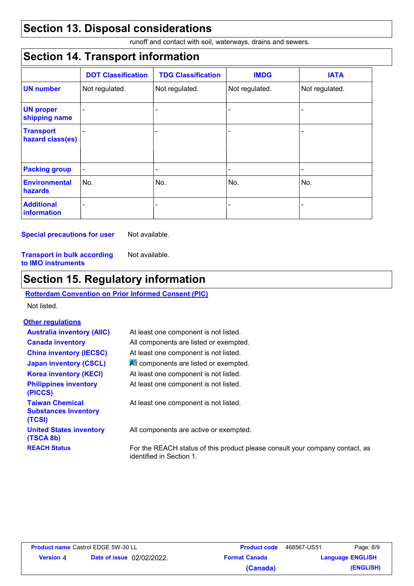# **Section 13. Disposal considerations**

runoff and contact with soil, waterways, drains and sewers.

# **Section 14. Transport information**

|                                      | <b>DOT Classification</b> | <b>TDG Classification</b> | <b>IMDG</b>              | <b>IATA</b>    |
|--------------------------------------|---------------------------|---------------------------|--------------------------|----------------|
| <b>UN number</b>                     | Not regulated.            | Not regulated.            | Not regulated.           | Not regulated. |
| <b>UN proper</b><br>shipping name    |                           |                           |                          | -              |
| <b>Transport</b><br>hazard class(es) |                           |                           |                          | -              |
| <b>Packing group</b>                 | $\blacksquare$            | ۰                         | $\overline{\phantom{0}}$ | ٠              |
| <b>Environmental</b><br>hazards      | No.                       | No.                       | No.                      | No.            |
| <b>Additional</b><br>information     | $\equiv$                  |                           |                          | ۰              |

**Special precautions for user** Not available.

Not available.

**Transport in bulk according to IMO instruments**

# **Section 15. Regulatory information**

### **Rotterdam Convention on Prior Informed Consent (PIC)**

Not listed.

### **Other regulations**

| <b>Australia inventory (AIIC)</b><br><b>Canada inventory</b>    | At least one component is not listed.<br>All components are listed or exempted.                          |
|-----------------------------------------------------------------|----------------------------------------------------------------------------------------------------------|
| <b>China inventory (IECSC)</b>                                  | At least one component is not listed.                                                                    |
| <b>Japan inventory (CSCL)</b>                                   | All components are listed or exempted.                                                                   |
| <b>Korea inventory (KECI)</b>                                   | At least one component is not listed.                                                                    |
| <b>Philippines inventory</b><br>(PICCS)                         | At least one component is not listed.                                                                    |
| <b>Taiwan Chemical</b><br><b>Substances Inventory</b><br>(TCSI) | At least one component is not listed.                                                                    |
| <b>United States inventory</b><br>(TSCA 8b)                     | All components are active or exempted.                                                                   |
| <b>REACH Status</b>                                             | For the REACH status of this product please consult your company contact, as<br>identified in Section 1. |